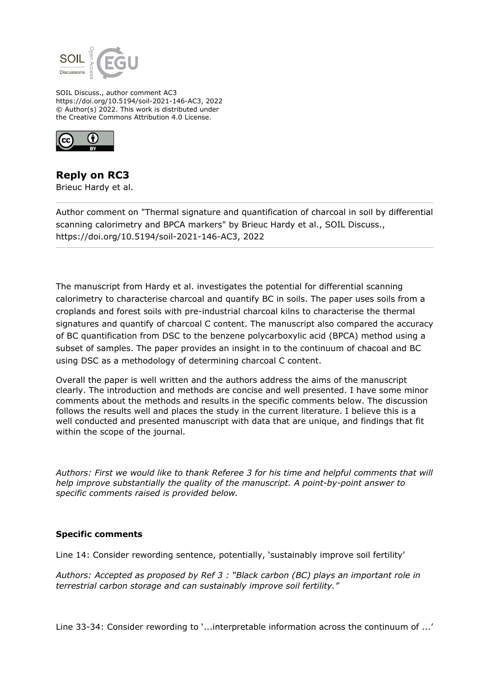

SOIL Discuss., author comment AC3 https://doi.org/10.5194/soil-2021-146-AC3, 2022 © Author(s) 2022. This work is distributed under the Creative Commons Attribution 4.0 License.



## **Reply on RC3**

Brieuc Hardy et al.

Author comment on "Thermal signature and quantification of charcoal in soil by differential scanning calorimetry and BPCA markers" by Brieuc Hardy et al., SOIL Discuss., https://doi.org/10.5194/soil-2021-146-AC3, 2022

The manuscript from Hardy et al. investigates the potential for differential scanning calorimetry to characterise charcoal and quantify BC in soils. The paper uses soils from a croplands and forest soils with pre-industrial charcoal kilns to characterise the thermal signatures and quantify of charcoal C content. The manuscript also compared the accuracy of BC quantification from DSC to the benzene polycarboxylic acid (BPCA) method using a subset of samples. The paper provides an insight in to the continuum of chacoal and BC using DSC as a methodology of determining charcoal C content.

Overall the paper is well written and the authors address the aims of the manuscript clearly. The introduction and methods are concise and well presented. I have some minor comments about the methods and results in the specific comments below. The discussion follows the results well and places the study in the current literature. I believe this is a well conducted and presented manuscript with data that are unique, and findings that fit within the scope of the journal.

*Authors: First we would like to thank Referee 3 for his time and helpful comments that will help improve substantially the quality of the manuscript. A point-by-point answer to specific comments raised is provided below.*

## **Specific comments**

Line 14: Consider rewording sentence, potentially, 'sustainably improve soil fertility'

*Authors: Accepted as proposed by Ref 3 : "Black carbon (BC) plays an important role in terrestrial carbon storage and can sustainably improve soil fertility."*

Line 33-34: Consider rewording to '...interpretable information across the continuum of ...'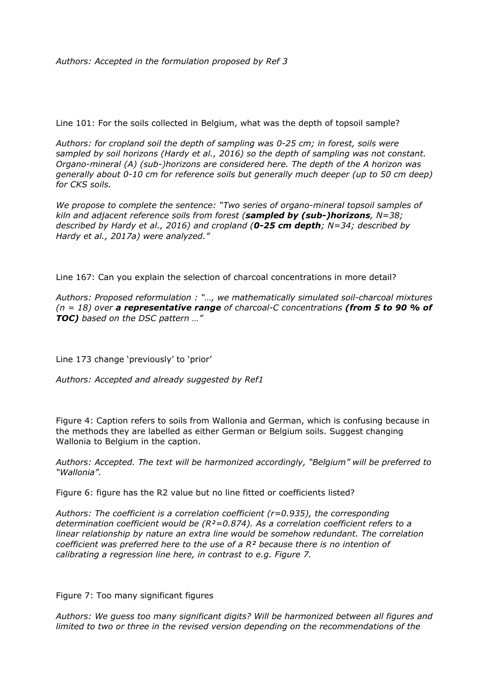*Authors: Accepted in the formulation proposed by Ref 3*

Line 101: For the soils collected in Belgium, what was the depth of topsoil sample?

*Authors: for cropland soil the depth of sampling was 0-25 cm; in forest, soils were sampled by soil horizons (Hardy et al., 2016) so the depth of sampling was not constant. Organo-mineral (A) (sub-)horizons are considered here. The depth of the A horizon was generally about 0-10 cm for reference soils but generally much deeper (up to 50 cm deep) for CKS soils.*

*We propose to complete the sentence: "Two series of organo-mineral topsoil samples of kiln and adjacent reference soils from forest (sampled by (sub-)horizons, N=38; described by Hardy et al., 2016) and cropland (0-25 cm depth; N=34; described by Hardy et al., 2017a) were analyzed."*

Line 167: Can you explain the selection of charcoal concentrations in more detail?

*Authors: Proposed reformulation : "…, we mathematically simulated soil-charcoal mixtures (n = 18) over a representative range of charcoal-C concentrations (from 5 to 90 % of TOC) based on the DSC pattern …"*

Line 173 change 'previously' to 'prior'

*Authors: Accepted and already suggested by Ref1*

Figure 4: Caption refers to soils from Wallonia and German, which is confusing because in the methods they are labelled as either German or Belgium soils. Suggest changing Wallonia to Belgium in the caption.

*Authors: Accepted. The text will be harmonized accordingly, "Belgium" will be preferred to "Wallonia".*

Figure 6: figure has the R2 value but no line fitted or coefficients listed?

*Authors: The coefficient is a correlation coefficient (r=0.935), the corresponding determination coefficient would be (R²=0.874). As a correlation coefficient refers to a linear relationship by nature an extra line would be somehow redundant. The correlation coefficient was preferred here to the use of a R² because there is no intention of calibrating a regression line here, in contrast to e.g. Figure 7.*

Figure 7: Too many significant figures

*Authors: We guess too many significant digits? Will be harmonized between all figures and limited to two or three in the revised version depending on the recommendations of the*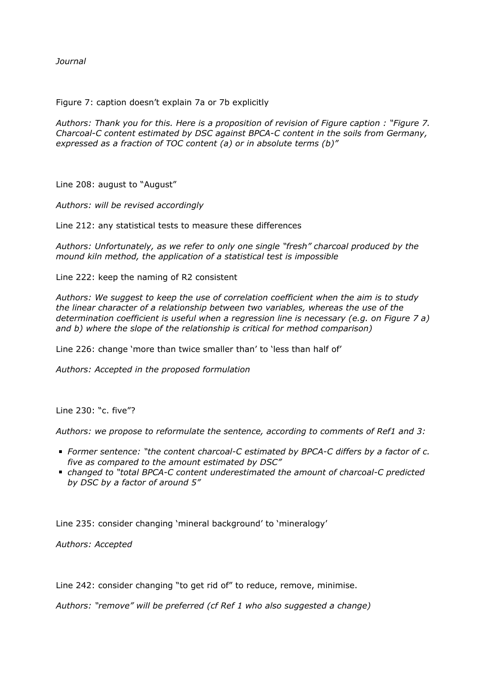*Journal*

Figure 7: caption doesn't explain 7a or 7b explicitly

*Authors: Thank you for this. Here is a proposition of revision of Figure caption : "Figure 7. Charcoal-C content estimated by DSC against BPCA-C content in the soils from Germany, expressed as a fraction of TOC content (a) or in absolute terms (b)"*

Line 208: august to "August"

*Authors: will be revised accordingly*

Line 212: any statistical tests to measure these differences

*Authors: Unfortunately, as we refer to only one single "fresh" charcoal produced by the mound kiln method, the application of a statistical test is impossible*

Line 222: keep the naming of R2 consistent

*Authors: We suggest to keep the use of correlation coefficient when the aim is to study the linear character of a relationship between two variables, whereas the use of the determination coefficient is useful when a regression line is necessary (e.g. on Figure 7 a) and b) where the slope of the relationship is critical for method comparison)*

Line 226: change 'more than twice smaller than' to 'less than half of'

*Authors: Accepted in the proposed formulation*

Line 230: "c. five"?

*Authors: we propose to reformulate the sentence, according to comments of Ref1 and 3:*

- *Former sentence: "the content charcoal-C estimated by BPCA-C differs by a factor of c. five as compared to the amount estimated by DSC"*
- *changed to "total BPCA-C content underestimated the amount of charcoal-C predicted by DSC by a factor of around 5"*

Line 235: consider changing 'mineral background' to 'mineralogy'

*Authors: Accepted*

Line 242: consider changing "to get rid of" to reduce, remove, minimise.

*Authors: "remove" will be preferred (cf Ref 1 who also suggested a change)*